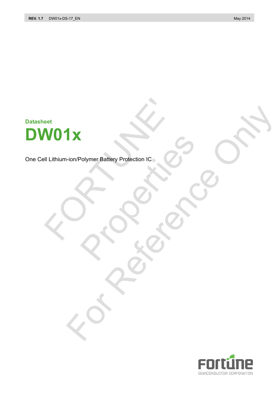# **Datasheet DW01x**  WO1x<br>
Il Lithium-ion/Polymer Battery Protection IC<br>
Contraction Contraction Contraction Contraction Contraction Contraction Contraction Contraction Contraction Contraction Contraction Contraction Contraction Contraction Co

One Cell Lithium-ion/Polymer Battery Protection IC Polymer Battery Protection IC. **IX** Holymer Battery Protection IC 20 ONLY

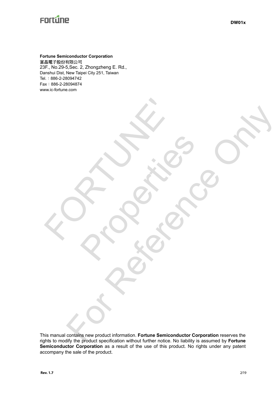www.ic-fortune.com

**Fortune Semiconductor Corporation**  富晶電子股份有限公司 23F., No.29-5,Sec. 2, Zhongzheng E. Rd., Danshui Dist, New Taipei City 251, Taiwan Tel.:886-2-28094742 Fax:886-2-28094874

E PROFILE

This manual contains new product information. **Fortune Semiconductor Corporation** reserves the rights to modify the product specification without further notice. No liability is assumed by **Fortune**  Semiconductor Corporation as a result of the use of this product. No rights under any patent accompany the sale of the product. For Reference on the Semiconductor Connection reserves the

Rockers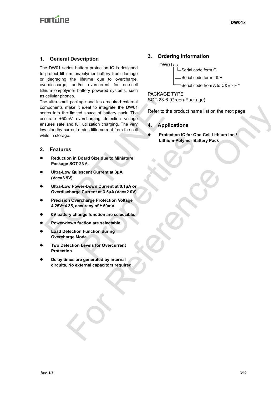# **Enrtine**

## **1. General Description**

The DW01 series battery protection IC is designed to protect lithium-ion/polymer battery from damage or degrading the lifetime due to overcharge, overdischarge, and/or overcurrent for one-cell lithium-ion/polymer battery powered systems, such as cellular phones.

The ultra-small package and less required external components make it ideal to integrate the DW01 series into the limited space of battery pack. The accurate ±50mV overcharging detection voltage ensures safe and full utilization charging. The very low standby current drains little current from the cell while in storage. Iteration and less required external<br>
memorits make it ideal to integrate the DW01<br>
Free into the limited space of battery pack. The<br>
crurate ±50mV overcharging detection voltage<br>
sures safe and full utilization charging. make it ideal to integrate the DW01<br>
is limited space of battery pack. This<br>
move overlarging detection to far one-coll attribution integral<br>
move of the currence of the collection of the connection of the collection<br>
the

#### **2. Features**

- **•** Reduction in Board Size due to Miniature **Package SOT-23-6.**
- z **Ultra-Low Quiescent Current at 3μA (Vcc=3.9V).**
- z **Ultra-Low Power-Down Current at 0.1μA or Overdischarge Current at 3.5μA (Vcc=2.0V).**  Protection IC for One-<br>Lithium-Polymer Batte<br>
licenside to Miniature<br>
23-6.<br>
Secent Current at 3µA<br>
er-Down Current at 3.5µA (Vcc=2.0V).<br>
Charge Protection Voltage<br>
curacy of ± 50mV.<br>
Inge function are selectable.<br>
Levels
- z **Precision Overcharge Protection Voltage 4.25V~4.35, accuracy of ± 50mV.**
- $\bullet$  0V battery change function are selectable.
- **Power-down fuction are selectable.**
- **Load Detection Function during Overcharge Mode.**
- **Two Detection Levels for Overcurrent Protection.**
- **Delay times are generated by internal circuits. No external capacitors required.**

## **3. Ordering Information**

DW01x-x Serial code form G Serial code form - & + Serial code from A to C&E、F \*

PACKAGE TYPE SOT-23-6 (Green-Package)

Refer to the product name list on the next page

#### **4. Applications**

z **Protection IC for One-Cell Lithium-Ion / Lithium-Polymer Battery Pack**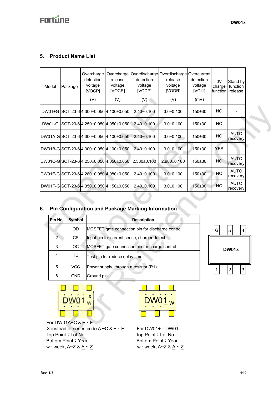## **5. Product Name List**

|    | Model                                   | Package                                  | Overcharge<br>detection<br>voltage<br>[VOCP]<br>(V) | Overcharge<br>release<br>voltage<br>[VOCR]<br>(V) | detection<br>voltage<br>[VODP]<br>(V)             | Overdischarge Overdischarge Overcurrent<br>release<br>voltage<br>[VODR]<br>(V) | detection<br>voltage<br>[VOI]<br>(mV) | 0V<br>charge<br>function | Stand by<br>function<br>release |  |
|----|-----------------------------------------|------------------------------------------|-----------------------------------------------------|---------------------------------------------------|---------------------------------------------------|--------------------------------------------------------------------------------|---------------------------------------|--------------------------|---------------------------------|--|
|    | DW01+G SOT-23-6 4.300±0.050 4.100±0.050 |                                          |                                                     | $2.40 \pm 0.100$                                  | $3.0 \pm 0.100$                                   | 150±30                                                                         | <b>NO</b>                             |                          |                                 |  |
|    | <b>DW01-G</b>                           |                                          |                                                     | SOT-23-6 4.250±0.050 4.050±0.050                  | $2.40 \pm 0.100$                                  | $3.0 \pm 0.100$                                                                | 150±30                                | <b>NO</b>                |                                 |  |
|    |                                         |                                          |                                                     | DW01A-G SOT-23-6 4.300±0.050 4.100±0.050          | $2.40 \pm 0.100$                                  | $3.0 + 0.100$                                                                  | 150±30                                | <b>NO</b>                | <b>AUTO</b><br>recovery         |  |
|    |                                         |                                          |                                                     | DW01B-G SOT-23-6 4.300±0.050 4.100±0.050          | $2.40 \pm 0.100$                                  | $3.0 + 0.100$                                                                  | 150±30                                | <b>YES</b>               |                                 |  |
|    |                                         |                                          |                                                     | DW01C-GSOT-23-64.250±0.050 4.050±0.050            | $2.380 \pm 0.100$                                 | 2.980±0.100                                                                    | 150±30                                | <b>NO</b>                | <b>AUTO</b><br>recovery         |  |
|    |                                         |                                          |                                                     | DW01E-G SOT-23-6 4.280±0.050 4.080±0.050          | $2.40 \pm 0.100$                                  | $3.0 \pm 0.100$                                                                | 150±30                                | <b>NO</b>                | <b>AUTO</b><br>recovery         |  |
|    |                                         |                                          |                                                     |                                                   | $2.40 \pm 0.100$                                  | $3.0 \pm 0.100$                                                                | 150±30                                | <b>NO</b>                | <b>AUTO</b>                     |  |
| 6. |                                         | DW01F-G SOT-23-6 4.350±0.050 4.150±0.050 |                                                     |                                                   | Pin Configuration and Package Marking Information |                                                                                |                                       |                          | recovery                        |  |
|    | Pin No.                                 | <b>Symbol</b>                            |                                                     |                                                   | <b>Description</b>                                |                                                                                |                                       |                          |                                 |  |
|    | 1                                       | OD                                       |                                                     |                                                   | MOSFET gate connection pin for discharge control  |                                                                                |                                       |                          |                                 |  |
|    | $\overline{2}$                          | <b>CS</b>                                |                                                     |                                                   | Input pin for current sense, charger detect       |                                                                                |                                       | 6                        | 5<br>$\overline{\mathbf{4}}$    |  |
|    | 3                                       | OC                                       |                                                     |                                                   | MOSFET gate connection pin for charge control     |                                                                                |                                       |                          | DW01x                           |  |
|    | 4                                       | <b>TD</b>                                |                                                     | Test pin for reduce delay time                    |                                                   |                                                                                |                                       |                          |                                 |  |
|    | 5                                       | <b>VCC</b>                               |                                                     |                                                   | Power supply, through a resistor (R1)             |                                                                                |                                       | 1                        | $\ensuremath{\mathsf{3}}$       |  |
|    | 6                                       | <b>GND</b>                               | Ground pin                                          |                                                   |                                                   |                                                                                |                                       |                          | $\overline{2}$                  |  |

## **6. Pin Configuration and Package Marking Information**

| Pin No.       | Symbol     | <b>Description</b>                               |             |
|---------------|------------|--------------------------------------------------|-------------|
|               | <b>OD</b>  | MOSFET gate connection pin for discharge control | 6<br>5<br>4 |
| $\mathcal{P}$ | <b>CS</b>  | Input pin for current sense, charger detect      |             |
| 3             | <b>OC</b>  | MOSFET gate connection pin for charge control    | DW01x       |
| 4             | TD.        | Test pin for reduce delay time                   |             |
| 5             | VCC.       | Power supply, through a resistor (R1)            | 3<br>2      |
| 6             | <b>GND</b> | Ground pin                                       |             |



 For DW01A~C & E、F X instead of series code  $A \sim C$  &  $E \cdot F$  For DW01+  $\cdot$  DW01-Top Point: Lot No Top Point: Lot No Bottom Point: Year Bottom Point: Year w : week,  $A \sim Z$  &  $\underline{A} \sim \underline{Z}$  w : week,  $A \sim Z$  &  $\underline{A} \sim \underline{Z}$ 

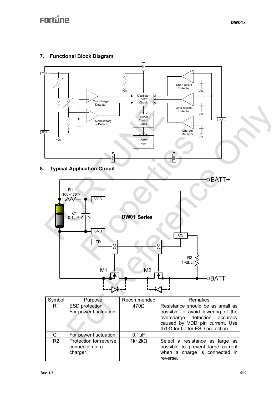## **7. Functional Block Diagram**



**8. Typical Application Circuit** 



| Symbol         | Purpose                                               | Recommended   | Remakes                                                                                                                                                                     |  |  |
|----------------|-------------------------------------------------------|---------------|-----------------------------------------------------------------------------------------------------------------------------------------------------------------------------|--|--|
| R <sub>1</sub> | ESD protection.<br>For power fluctuation.             | $470\Omega$   | Resistance should be as small as<br>possible to avoid lowering of the<br>overcharge detection accuracy<br>caused by VDD pin current. Use<br>470Ω for better ESD protection. |  |  |
| C <sub>1</sub> | For power fluctuation.                                | $0.1\mu F$    |                                                                                                                                                                             |  |  |
| R <sub>2</sub> | Protection for reverse<br>connection of a<br>charger. | $1k-2k\Omega$ | Select a resistance as large as<br>possible to prevent large current<br>when a charge is connected in<br>reverse.                                                           |  |  |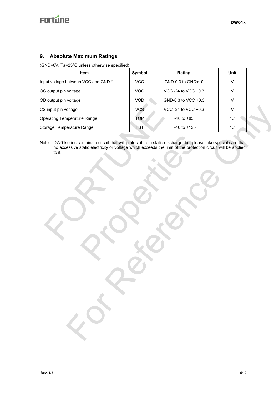## **9. Absolute Maximum Ratings**

### (GND=0V, Ta=25°C unless otherwise specified)

| <b>Item</b>                         | Symbol     | Rating              | Unit |
|-------------------------------------|------------|---------------------|------|
| Input voltage between VCC and GND * | <b>VCC</b> | GND-0.3 to GND+10   |      |
| OC output pin voltage               | VOC        | VCC -24 to VCC +0.3 |      |
| OD output pin voltage               | <b>VOD</b> | GND-0.3 to VCC +0.3 |      |
| CS input pin voltage                | <b>VCS</b> | VCC -24 to VCC +0.3 |      |
| <b>Operating Temperature Range</b>  | <b>TOP</b> | $-40$ to $+85$      | °C   |
| Storage Temperature Range           | TST        | $-40$ to $+125$     | °C   |

Note: DW01series contains a circuit that will protect it from static discharge; but please take special care that no excessive static electricity or voltage which exceeds the limit of the protection circuit will be applied to it.

FORTUNE' ontains a circuit that will protect it from static discharge; but pleas<br>static electricity or voltage which exceeds the limit of the protectic<br>protection of the protection of the protection<br>of the protection of the protect othere Range<br>
The Constant of Ample (The Constant of Ample 2001)<br>
Carlotte Constants a circuit three will produce it into material character that constant of the production constant of the production constant with the cons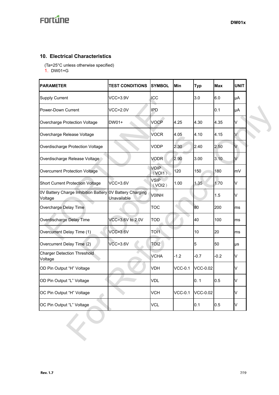## **10. Electrical Characteristics**

(Ta=25°C unless otherwise specified)

1. DW01+G

| <b>PARAMETER</b>                                                    | <b>TEST CONDITIONS</b> | <b>SYMBOL</b>         | Min            | <b>Typ</b>      | <b>Max</b> | <b>UNIT</b> |
|---------------------------------------------------------------------|------------------------|-----------------------|----------------|-----------------|------------|-------------|
| <b>Supply Current</b>                                               | <b>VCC=3.9V</b>        | ICC                   |                | 3.0             | 6.0        | μA          |
| Power-Down Current                                                  | $VCC=2.0V$             | <b>IPD</b>            |                |                 | 0.1        | μA          |
| Overcharge Protection Voltage                                       | DW01+                  | <b>VOCP</b>           | 4.25           | 4.30            | 4.35       | V           |
| Overcharge Release Voltage                                          |                        | <b>VOCR</b>           | 4.05           | 4.10            | 4.15       |             |
| Overdischarge Protection Voltage                                    |                        | <b>VODP</b>           | 2.30           | 2.40            | 2.50       | V           |
| Overdischarge Release Voltage                                       |                        | <b>VODR</b>           | 2.90           | 3.00            | 3.10       | V.          |
| Overcurrent Protection Voltage                                      |                        | <b>VOIP</b><br>(VOI1) | 120            | 150             | 180        | lm∨         |
| <b>Short Current Protection Voltage</b>                             | $VCC=3.6V$             | <b>VSIP</b><br>(VOI2) | 1.00           | 1.35            | 1.70       | V           |
| 0V Battery Charge Inhibition Battery 0V Battery Charging<br>Voltage | Unavailable            | <b>VOINH</b>          |                |                 | 1.5        | V           |
| Overcharge Delay Time                                               |                        | <b>TOC</b>            |                | 80              | 200        | ms          |
| Overdischarge Delay Time                                            | VCC=3.6V to 2.0V       | <b>TOD</b>            |                | 40              | 100        | ms          |
| Overcurrent Delay Time (1)                                          | $VCC=3.6V$             | <b>TO11</b>           |                | 10              | 20         | ms          |
| Overcurrent Delay Time (2)                                          | $VCC=3.6V$             | TOI <sub>2</sub>      |                | 5               | 50         | μs          |
| <b>Charger Detection Threshold</b><br>Voltage                       |                        | <b>VCHA</b>           | $-1.2$         | $-0.7$          | $-0.2$     | V           |
| OD Pin Output "H" Voltage                                           |                        | <b>VDH</b>            | $VCC-0.1$      | <b>VCC-0.02</b> |            | V           |
| OD Pin Output "L" Voltage                                           |                        | <b>VDL</b>            |                | 0.1             | 0.5        | V           |
| OC Pin Output "H" Voltage                                           |                        | <b>VCH</b>            | <b>VCC-0.1</b> | <b>VCC-0.02</b> |            | V           |
| OC Pin Output "L" Voltage                                           |                        | <b>VCL</b>            |                | 0.1             | 0.5        | V           |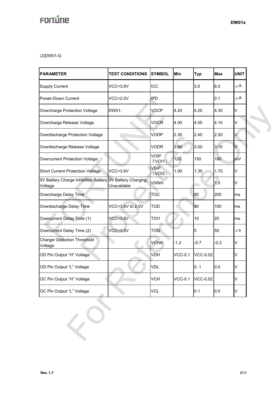(2)DW01-G

| <b>PARAMETER</b>                                                    | <b>TEST CONDITIONS</b> | <b>SYMBOL</b>         | Min            | <b>Typ</b>      | <b>Max</b> | <b>UNIT</b> |  |
|---------------------------------------------------------------------|------------------------|-----------------------|----------------|-----------------|------------|-------------|--|
| <b>Supply Current</b>                                               | $VCC=3.9V$             | ICC                   |                | 3.0             | 6.0        | $\mu$ A     |  |
| Power-Down Current                                                  | $VCC=2.0V$             | <b>IPD</b>            |                |                 | 0.1        | $\mu$ A     |  |
| Overcharge Protection Voltage                                       | <b>DW01-</b>           |                       | 4.20           | 4.25            | 4.30       | V           |  |
| Overcharge Release Voltage                                          |                        | <b>VOCR</b>           | 4.00           | 4.05            | 4.10       | V           |  |
| Overdischarge Protection Voltage                                    |                        | <b>VODP</b>           | 2.30           | 2.40            | 2.50       | V           |  |
| Overdischarge Release Voltage                                       |                        | <b>VODR</b>           | 2.90           | 3.00            | 3.10       | V           |  |
| Overcurrent Protection Voltage                                      |                        | <b>VOIP</b><br>(VOI1) | 120            | 150             | 180        | mV          |  |
| Short Current Protection Voltage                                    | $VCC=3.6V$             | <b>VSIP</b><br>(VOI2) | 1.00           | 1.35            | 1.70       | V           |  |
| 0V Battery Charge Inhibition Battery OV Battery Charging<br>Voltage | Unavailable            | <b>VOINH</b>          |                |                 | 1.5        | V           |  |
| Overcharge Delay Time                                               |                        | <b>TOC</b>            |                | 80              | 200        | ms          |  |
| Overdischarge Delay Time                                            | VCC=3.6V to 2.0V       | <b>TOD</b>            |                | 40              | 100        | ms          |  |
| Overcurrent Delay Time (1)                                          | $VCC=3.6V$             | TOI1                  |                | 10              | 20         | ms          |  |
| Overcurrent Delay Time (2)                                          | $VCC=3.6V$             | TOI <sub>2</sub>      |                | 5               | 50         | $\mu$ S     |  |
| <b>Charger Detection Threshold</b><br>Voltage                       |                        | <b>VCHA</b>           | $-1.2$         | $-0.7$          | $-0.2$     | V           |  |
| OD Pin Output "H" Voltage                                           |                        | VDH                   | <b>VCC-0.1</b> | <b>VCC-0.02</b> |            | V           |  |
| OD Pin Output "L" Voltage                                           |                        | <b>VDL</b>            |                | 0.1             | 0.5        | V           |  |
| OC Pin Output "H" Voltage                                           |                        | <b>VCH</b>            | <b>VCC-0.1</b> | <b>VCC-0.02</b> |            | V           |  |
| OC Pin Output "L" Voltage                                           |                        | <b>VCL</b>            |                | 0.1             | 0.5        | V           |  |
|                                                                     |                        |                       |                |                 |            |             |  |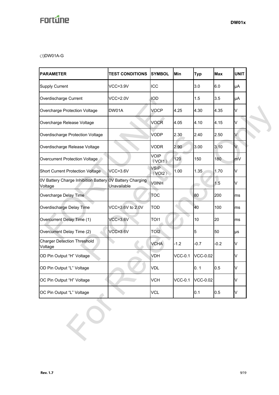(3)DW01A-G

| <b>PARAMETER</b>                                                    | <b>TEST CONDITIONS</b> | <b>SYMBOL</b>         | Min            | <b>Typ</b>      | <b>Max</b> | <b>UNIT</b> |  |
|---------------------------------------------------------------------|------------------------|-----------------------|----------------|-----------------|------------|-------------|--|
| <b>Supply Current</b>                                               | $VCC=3.9V$             | ICC                   |                | 3.0             | 6.0        | μA          |  |
| Overdischarge Current                                               | $VCC=2.0V$             | IOD                   |                | 1.5             | 3.5        | μA          |  |
| Overcharge Protection Voltage                                       | DW01A                  | <b>VOCP</b>           | 4.25           | 4.30            | 4.35       | V           |  |
| Overcharge Release Voltage                                          |                        | <b>VOCR</b>           | 4.05           | 4.10            | 4.15       | V           |  |
| Overdischarge Protection Voltage                                    |                        | <b>VODP</b>           | 2.30           | 2.40            | 2.50       | V           |  |
| Overdischarge Release Voltage                                       |                        | <b>VODR</b>           | 2.90           | 3.00            | 3.10       | V           |  |
| Overcurrent Protection Voltage                                      |                        | <b>VOIP</b><br>(VOI1) | 120            | 150             | 180        | mV          |  |
| Short Current Protection Voltage                                    | $VCC=3.6V$             | <b>VSIP</b><br>(VOI2) | 1.00           | 1.35            | 1.70       | V           |  |
| 0V Battery Charge Inhibition Battery 0V Battery Charging<br>Voltage | Unavailable            | <b>VOINH</b>          |                |                 | 1.5        | V           |  |
| Overcharge Delay Time                                               |                        | <b>TOC</b>            |                | 80              | 200        | ms          |  |
| Overdischarge Delay Time                                            | VCC=3.6V to 2.0V       | <b>TOD</b>            |                | 40              | 100        | ms          |  |
| Overcurrent Delay Time (1)                                          | $VCC=3.6V$             | TOI1                  |                | 10              | 20         | ms          |  |
| Overcurrent Delay Time (2)                                          | $VCC=3.6V$             | TOI <sub>2</sub>      |                | 5               | 50         | μs          |  |
| <b>Charger Detection Threshold</b><br>Voltage                       |                        | <b>VCHA</b>           | $-1.2$         | $-0.7$          | $-0.2$     | V           |  |
| OD Pin Output "H" Voltage                                           |                        | VDH                   | $VCC-0.1$      | <b>VCC-0.02</b> |            | V           |  |
| OD Pin Output "L" Voltage                                           |                        | <b>VDL</b>            |                | 0.1             | 0.5        | V           |  |
| OC Pin Output "H" Voltage                                           |                        | <b>VCH</b>            | <b>VCC-0.1</b> | <b>VCC-0.02</b> |            | V           |  |
| OC Pin Output "L" Voltage                                           |                        | <b>VCL</b>            |                | 0.1             | 0.5        | V           |  |
|                                                                     |                        |                       |                |                 |            |             |  |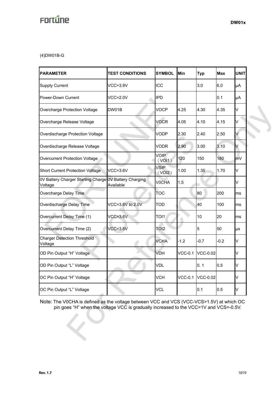(4)DW01B-G

| <b>PARAMETER</b>                                                                                                                                                                  | <b>TEST CONDITIONS</b>           | <b>SYMBOL</b>         | Min            | <b>Typ</b>        | <b>Max</b> | <b>UNIT</b> |
|-----------------------------------------------------------------------------------------------------------------------------------------------------------------------------------|----------------------------------|-----------------------|----------------|-------------------|------------|-------------|
| <b>Supply Current</b>                                                                                                                                                             | $VCC = 3.9V$                     | <b>ICC</b>            |                | 3.0               | 6.0        | μA          |
| Power-Down Current                                                                                                                                                                | $VCC = 2.0V$                     | <b>IPD</b>            |                |                   | 0.1        | μA          |
| Overcharge Protection Voltage                                                                                                                                                     | DW01B                            | <b>VOCP</b>           | 4.25           | 4.30              | 4.35       | V           |
| Overcharge Release Voltage                                                                                                                                                        |                                  | <b>VOCR</b>           | 4.05           | 4.10              | 4.15       | V           |
| Overdischarge Protection Voltage                                                                                                                                                  |                                  | <b>VODP</b>           | 2.30           | 2.40              | 2.50       | V           |
| Overdischarge Release Voltage                                                                                                                                                     |                                  | <b>VODR</b>           | 2.90           | 3.00              | 3.10       | V           |
| Overcurrent Protection Voltage                                                                                                                                                    |                                  | <b>VOIP</b><br>(VOI1) | 120            | 150               | 180        | mV          |
| <b>Short Current Protection Voltage</b>                                                                                                                                           | $VCC=3.6V$                       | <b>VSIP</b><br>(VOI2) | 1.00           | 1.35              | 1.70       | V           |
| 0V Battery Charger Starting Charge<br>Voltage                                                                                                                                     | 0V Battery Charging<br>Available | <b>VOCHA</b>          | 1.5            |                   |            | V           |
| Overcharge Delay Time                                                                                                                                                             |                                  | <b>TOC</b>            |                | 80                | 200        | ms          |
| Overdischarge Delay Time                                                                                                                                                          | VCC=3.6V to 2.0V                 | <b>TOD</b>            |                | 40                | 100        | ms          |
| Overcurrent Delay Time (1)                                                                                                                                                        | $VCC=3.6V$                       | TOI1                  |                | 10                | 20         | ms          |
| Overcurrent Delay Time (2)                                                                                                                                                        | $VCC=3.6V$                       | TOI <sub>2</sub>      |                | 5                 | 50         | μs          |
| <b>Charger Detection Threshold</b><br>Voltage                                                                                                                                     |                                  | <b>VCHA</b>           | $-1.2$         | $-0.7$            | $-0.2$     | V           |
| OD Pin Output "H" Voltage                                                                                                                                                         |                                  | <b>VDH</b>            | <b>VCC-0.1</b> | <b>VCC-0.02</b>   |            | V           |
| OD Pin Output "L" Voltage                                                                                                                                                         |                                  | <b>VDL</b>            |                | 0.1               | 0.5        | Λ           |
| OC Pin Output "H" Voltage                                                                                                                                                         |                                  | <b>VCH</b>            |                | VCC-0.1  VCC-0.02 |            | V           |
| OC Pin Output "L" Voltage                                                                                                                                                         |                                  | <b>VCL</b>            |                | 0.1               | 0.5        | V           |
| Note: The V0CHA is defined as the voltage between VCC and VCS (VCC-VCS>1.5V) at which OC<br>pin goes "H" when the voltage VCC is gradually increased to the VCC=1V and VCS=-0.5V. |                                  |                       |                |                   |            |             |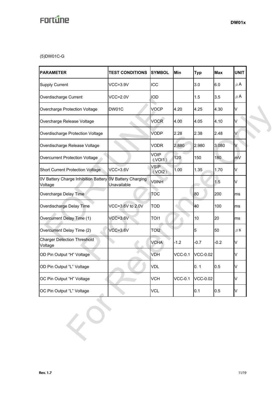(5)DW01C-G

| <b>PARAMETER</b>                                | <b>TEST CONDITIONS</b><br><b>SYMBOL</b>   |                                   | Min            | <b>Typ</b>      | <b>Max</b> | <b>UNIT</b> |  |
|-------------------------------------------------|-------------------------------------------|-----------------------------------|----------------|-----------------|------------|-------------|--|
| <b>Supply Current</b>                           | $VCC=3.9V$                                | ICC                               |                | 3.0             | 6.0        | $\mu$ A     |  |
| Overdischarge Current                           | <b>VCC=2.0V</b>                           | <b>IOD</b>                        |                | 1.5             | 3.5        | $\mu$ A     |  |
| Overcharge Protection Voltage                   | DW01C                                     |                                   | 4.20           | 4.25            | 4.30       | V           |  |
| Overcharge Release Voltage                      |                                           |                                   | 4.00           | 4.05            | 4.10       | V           |  |
| Overdischarge Protection Voltage                |                                           | <b>VODP</b>                       | 2.28           | 2.38            | 2.48       | V           |  |
| Overdischarge Release Voltage                   |                                           | <b>VODR</b>                       | 2.880          | 2.980           | 3.080      | V           |  |
| Overcurrent Protection Voltage                  |                                           | <b>VOIP</b><br>(VO <sub>1</sub> ) | 120            | 150             | 180        | mV          |  |
| <b>Short Current Protection Voltage</b>         | $VCC=3.6V$                                | <b>VSIP</b><br>(VOI2)             | 1.00           | 1.35            | 1.70       | V           |  |
| 0V Battery Charge Inhibition Battery<br>Voltage | <b>OV Battery Charging</b><br>Unavailable | <b>VOINH</b>                      |                |                 | 1.5        | V           |  |
| Overcharge Delay Time                           |                                           | <b>TOC</b>                        |                | 80              | 200        | ms          |  |
| Overdischarge Delay Time                        | VCC=3.6V to 2.0V                          | <b>TOD</b>                        |                | 40              | 100        | ms          |  |
| Overcurrent Delay Time (1)                      | $VCC=3.6V$                                | TOI1                              |                | 10              | 20         | ms          |  |
| Overcurrent Delay Time (2)                      | $VCC=3.6V$                                | TOI <sub>2</sub>                  |                | 5               | 50         | $\mu$ S     |  |
| <b>Charger Detection Threshold</b><br>Voltage   |                                           | <b>VCHA</b>                       | $-1.2$         | $-0.7$          | $-0.2$     | V           |  |
| OD Pin Output "H" Voltage                       |                                           | VDH                               | $VCC-0.1$      | <b>VCC-0.02</b> |            | V           |  |
| OD Pin Output "L" Voltage                       |                                           | <b>VDL</b>                        |                | 0.1             | 0.5        | V           |  |
| OC Pin Output "H" Voltage                       |                                           | <b>VCH</b>                        | <b>VCC-0.1</b> | <b>VCC-0.02</b> |            | V           |  |
| OC Pin Output "L" Voltage                       |                                           | <b>VCL</b>                        |                | 0.1             | 0.5        | V           |  |
|                                                 |                                           |                                   |                |                 |            |             |  |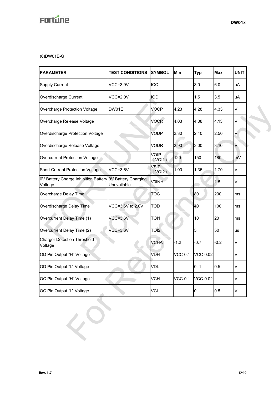(6)DW01E-G

| <b>PARAMETER</b>                                                    | <b>TEST CONDITIONS</b> |                       | Min            | <b>Typ</b>      | <b>Max</b> | <b>UNIT</b> |  |
|---------------------------------------------------------------------|------------------------|-----------------------|----------------|-----------------|------------|-------------|--|
| <b>Supply Current</b>                                               | <b>VCC=3.9V</b>        | ICC                   |                | 3.0             | 6.0        | μA          |  |
| Overdischarge Current                                               | $VCC=2.0V$             | <b>IOD</b>            |                | 1.5             | 3.5        | μA          |  |
| Overcharge Protection Voltage                                       | DW01E                  |                       | 4.23           | 4.28            | 4.33       | V           |  |
| Overcharge Release Voltage                                          |                        |                       | 4.03           | 4.08            | 4.13       | V           |  |
| Overdischarge Protection Voltage                                    |                        | <b>VODP</b>           | 2.30           | 2.40            | 2.50       | V           |  |
| Overdischarge Release Voltage                                       |                        | <b>VODR</b>           | 2.90           | 3.00            | 3.10       | V           |  |
| Overcurrent Protection Voltage                                      |                        | <b>VOIP</b><br>(VOI1) | 120            | 150             | 180        | mV          |  |
| <b>Short Current Protection Voltage</b>                             | $VCC=3.6V$             | <b>VSIP</b><br>(VOI2) | 1.00           | 1.35            | 1.70       | V           |  |
| 0V Battery Charge Inhibition Battery 0V Battery Charging<br>Voltage | Unavailable            | <b>VOINH</b>          |                |                 | 1.5        | V           |  |
| Overcharge Delay Time                                               |                        | <b>TOC</b>            |                | 80              | 200        | ms          |  |
| Overdischarge Delay Time                                            | VCC=3.6V to 2.0V       | <b>TOD</b>            |                | 40              | 100        | ms          |  |
| Overcurrent Delay Time (1)                                          | $VCC=3.6V$             | TOI1                  |                | 10              | 20         | ms          |  |
| Overcurrent Delay Time (2)                                          | $VCC=3.6V$             | TOI <sub>2</sub>      |                | 5               | 50         | μs          |  |
| <b>Charger Detection Threshold</b><br>Voltage                       |                        | <b>VCHA</b>           | $-1.2$         | $-0.7$          | $-0.2$     | V           |  |
| OD Pin Output "H" Voltage                                           |                        | VDH                   | <b>VCC-0.1</b> | <b>VCC-0.02</b> |            | V           |  |
| OD Pin Output "L" Voltage                                           |                        | <b>VDL</b>            |                | 0.1             | 0.5        | V           |  |
| OC Pin Output "H" Voltage                                           |                        | <b>VCH</b>            | <b>VCC-0.1</b> | <b>VCC-0.02</b> |            | V           |  |
| OC Pin Output "L" Voltage                                           |                        | <b>VCL</b>            |                | 0.1             | 0.5        | V           |  |
|                                                                     |                        |                       |                |                 |            |             |  |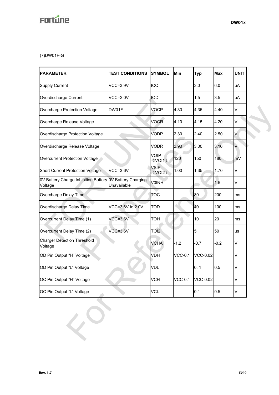## (7)DW01F-G

| <b>PARAMETER</b>                                | <b>TEST CONDITIONS</b>                    | <b>SYMBOL</b>         | Min            | <b>Typ</b>      | <b>Max</b> | <b>UNIT</b> |  |
|-------------------------------------------------|-------------------------------------------|-----------------------|----------------|-----------------|------------|-------------|--|
| <b>Supply Current</b>                           | $VCC=3.9V$                                | ICC                   |                | 3.0             | 6.0        | μA          |  |
| Overdischarge Current                           | <b>VCC=2.0V</b>                           | <b>IOD</b>            |                | 1.5             | 3.5        | μA          |  |
| Overcharge Protection Voltage                   | DW01F                                     |                       | 4.30           | 4.35            | 4.40       | V           |  |
| Overcharge Release Voltage                      |                                           | <b>VOCR</b>           | 4.10           | 4.15            | 4.20       | V           |  |
| Overdischarge Protection Voltage                |                                           | <b>VODP</b>           | 2.30           | 2.40            | 2.50       | V           |  |
| Overdischarge Release Voltage                   |                                           | <b>VODR</b>           | 2.90           | 3.00            | 3.10       | V           |  |
| Overcurrent Protection Voltage                  |                                           | <b>VOIP</b><br>(VOII) | 120            | 150             | 180        | mV          |  |
| <b>Short Current Protection Voltage</b>         | $VCC=3.6V$                                | <b>VSIP</b><br>(VOI2) | 1.00           | 1.35            | 1.70       | V           |  |
| 0V Battery Charge Inhibition Battery<br>Voltage | <b>OV Battery Charging</b><br>Unavailable | <b>VOINH</b>          |                |                 | 1.5        | V           |  |
| Overcharge Delay Time                           |                                           | TOC                   |                | 80              | 200        | ms          |  |
| Overdischarge Delay Time                        | VCC=3.6V to 2.0V                          | <b>TOD</b>            |                | 40              | 100        | ms          |  |
| Overcurrent Delay Time (1)                      | $VCC=3.6V$                                | TOI1                  |                | 10              | 20         | ms          |  |
| Overcurrent Delay Time (2)                      | $VCC=3.6V$                                | TOI <sub>2</sub>      |                | 5               | 50         | μs          |  |
| <b>Charger Detection Threshold</b><br>Voltage   |                                           | <b>VCHA</b>           | $-1.2$         | $-0.7$          | $-0.2$     | V           |  |
| OD Pin Output "H" Voltage                       |                                           | <b>VDH</b>            | $VCC-0.1$      | <b>VCC-0.02</b> |            | V           |  |
| OD Pin Output "L" Voltage                       |                                           | <b>VDL</b>            |                | 0.1             | 0.5        | V           |  |
| OC Pin Output "H" Voltage                       |                                           | <b>VCH</b>            | <b>VCC-0.1</b> | <b>VCC-0.02</b> |            | V           |  |
| OC Pin Output "L" Voltage                       |                                           | <b>VCL</b>            |                | 0.1             | 0.5        | V           |  |
|                                                 |                                           |                       |                |                 |            |             |  |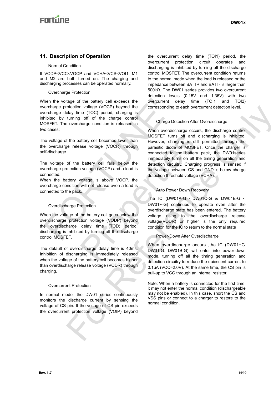## **11. Description of Operation**

#### Normal Condition

If VODP<VCC<VOCP and VCHA<VCS<VOI1, M1 and M2 are both turned on. The charging and discharging processes can be operated normally.

#### Overcharge Protection

When the voltage of the battery cell exceeds the overcharge protection voltage (VOCP) beyond the overcharge delay time (TOC) period, charging is inhibited by turning off of the charge control MOSFET. The overcharge condition is released in two cases: The interval end of the battery cell exceeds the<br>
ercharge protection voltage (VOCP) beyond the<br>
ercharge delay time (TOC) period, charging is<br>
inibited by turning off of the charge control<br>
or cases:<br>
when overdisc<br>
when

The voltage of the battery cell becomes lower than the overcharge release voltage (VOCR) through self-discharge.

The voltage of the battery cell falls below the overcharge protection voltage (VOCP) and a load is connected.

When the battery voltage is above VOCP, the overcharge condition will not release even a load is connected to the pack.

#### Overdischarge Protection

When the voltage of the battery cell goes below the overdischarge protection voltage (VODP) beyond the overdischarge delay time (TOD) period, discharging is inhibited by turning off the discharge control MOSFET.

The default of overdischarge delay time is 40ms. Inhibition of discharging is immediately released when the voltage of the battery cell becomes higher than overdischarge release voltage (VODR) through charging.

#### Overcurrent Protection

In normal mode, the DW01 series continuously monitors the discharge current by sensing the voltage of CS pin. If the voltage of CS pin exceeds the overcurrent protection voltage (VOIP) beyond

the overcurrent delay time (TOI1) period, the overcurrent protection circuit operates and discharging is inhibited by turning off the discharge control MOSFET. The overcurrent condition returns to the normal mode when the load is released or the impedance between BATT+ and BATT- is larger than 500kΩ. The DW01 series provides two overcurrent detection levels (0.15V and 1.35V) with two overcurrent delay time (TOI1 and TOI2) corresponding to each overcurrent detection level.

#### Charge Detection After Overdischarge

When overdischarge occurs, the discharge control MOSFET turns off and discharging is inhibited. However, charging is still permitted through the parasitic diode of MOSFET. Once the charger is connected to the battery pack, the DW01series immediately turns on all the timing generation and detection circuitry. Charging progress is sensed if the voltage between CS and GND is below charge detection threshold voltage (VCHA). MOSFET turns off and distance vallenges of the particular off and distance vallenge (VOCR) through the connected to the battery cell falls below the detection circuity. Charging involtage (VOCP) and a load is the voltage b checking voltage (VOCP) has corresponding to each overturent defection level.<br>
Iurning of the chinera contribution is corresponding to each overturent defection level.<br>
Iurning of the chinera contribution course, the distr

#### Auto Power Down Recovery

The IC (DW01A-G \ DW01C-G & DW01E-G \ DW01F-G) continues to operate even after the overdischarge state has been entered. The battery voltage rising to the overdischarge release voltage(VODR) or higher is the only required condition for the IC to return to the normal state

#### Power-Down After Overdischarge

When overdischarge occurs ,the IC (DW01+G, DW01-G, DW01B-G) will enter into power-down mode, turning off all the timing generation and detection circuitry to reduce the quiescent current to 0.1μA (VCC=2.0V). At the same time, the CS pin is pull-up to VCC through an internal resistor.

Note: When a battery is connected for the first time, it may not enter the normal condition (dischargeable may not be enabled). In this case, short the CS and VSS pins or connect to a charger to restore to the normal condition.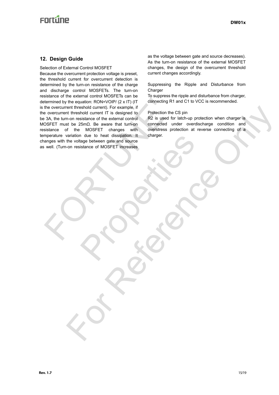## **Enrtune**

## **12. Design Guide**

Selection of External Control MOSFET

Because the overcurrent protection voltage is preset, the threshold current for overcurrent detection is determined by the turn-on resistance of the charge and discharge control MOSFETs. The turn-on resistance of the external control MOSFETs can be determined by the equation: RON=VOIP/ (2 x IT) (IT is the overcurrent threshold current). For example, if the overcurrent threshold current IT is designed to be 3A, the turn-on resistance of the external control MOSFET must be 25mΩ. Be aware that turn-on resistance of the MOSFET changes with temperature variation due to heat dissipation. It changes with the voltage between gate and source as well. (Turn-on resistance of MOSFET increases termined by the equation: RON=VOIP/ (2 x IT) (IT<br>the overcurrent threshold current). For example, if<br>the overcurrent threshold current). For example, if<br> $\frac{3}{4}$ , the turn-on resistance of the external control<br>of the ster Proper Detween gate and source<br>
Stance of MOSFET increases<br>
Stance of MOSFET increases<br>
Control of Mondal Details<br>
Control of Mondal Details<br>
Control of Mondal Details<br>
Control of Mondal Details<br>
Control of Mondal Details<br> ent threshold current); First examples it<br>with threshold current); First exampled to Protection the C.S.pin<br>the MoSET increase with consideration connection and the C.S.pin<br>at the 25mila. Be aware that turning connection a

as the voltage between gate and source decreases). As the turn-on resistance of the external MOSFET changes, the design of the overcurrent threshold current changes accordingly.

Suppressing the Ripple and Disturbance from Charger

To suppress the ripple and disturbance from charger, connecting R1 and C1 to VCC is recommended.

#### Protection the CS pin

R2 is used for latch-up protection when charger is connected under overdischarge condition and overstress protection at reverse connecting of a charger.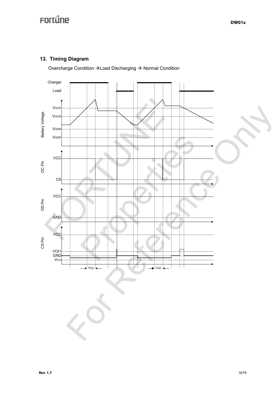## **13. Timing Diagram**

Overcharge Condition  $\rightarrow$  Load Discharging  $\rightarrow$  Normal Condition

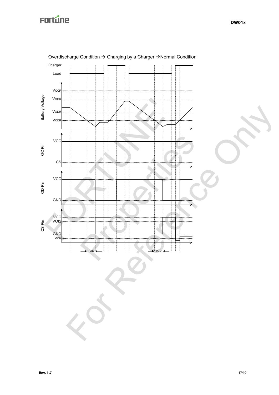

Overdischarge Condition  $\rightarrow$  Charging by a Charger  $\rightarrow$  Normal Condition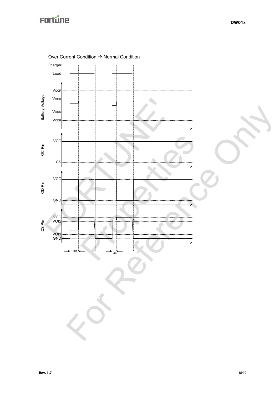

Over Current Condition  $\rightarrow$  Normal Condition